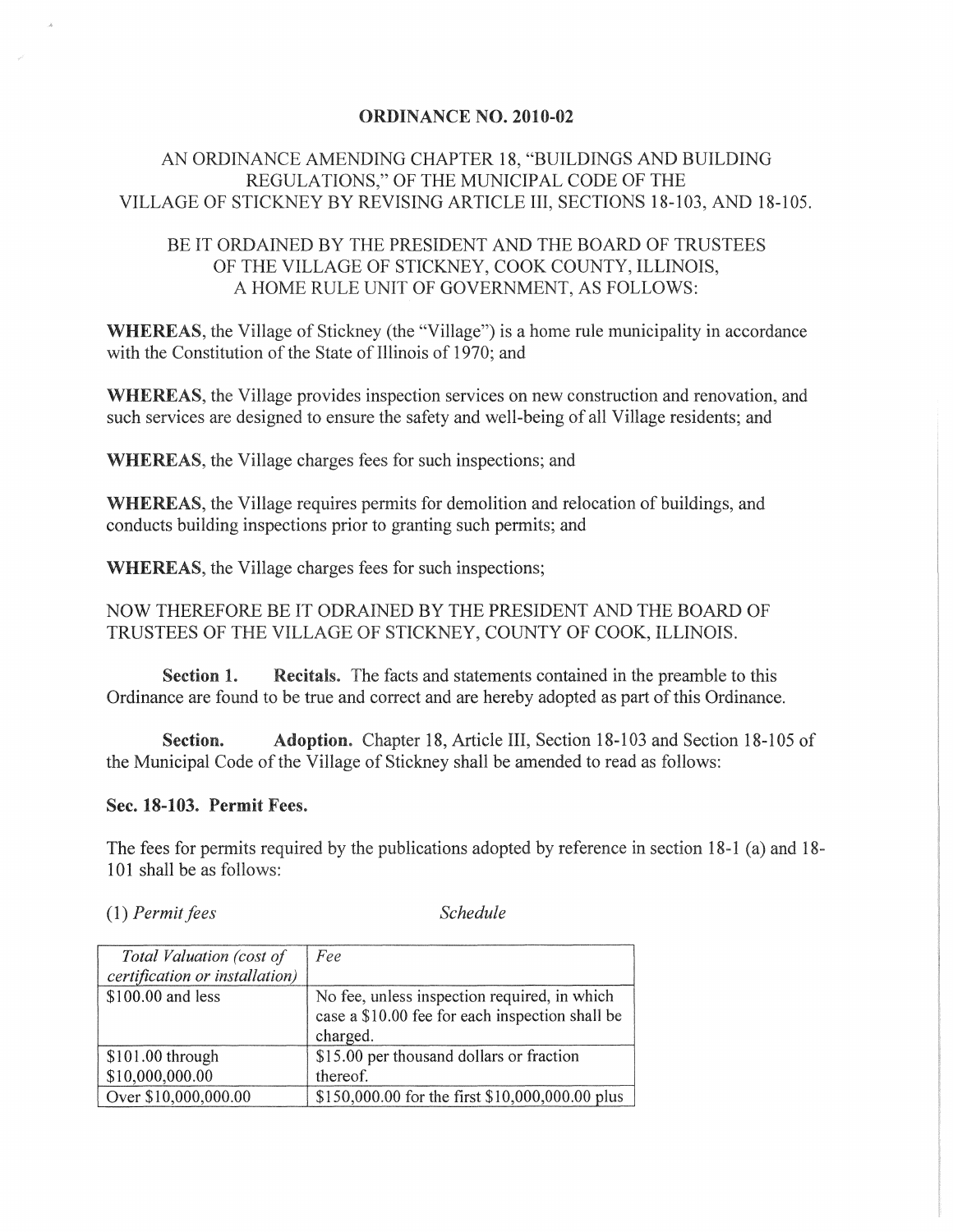#### ORDINANCE NO. 2010-02

## AN ORDINANCE AMENDING CHAPTER 18, "BUILDINGS AND BUILDING REGULATIONS," OF THE MUNICIPAL CODE OF THE VILLAGE OF STICKNEY BY REVISING ARTICLE III, SECTIONS 18-103, AND 18-105.

## BE IT ORDAINED BY THE PRESIDENT AND THE BOARD OF TRUSTEES OF THE VILLAGE OF STICKNEY, COOK COUNTY, ILLINOIS, A HOME RULE UNIT OF GOVERNMENT, AS FOLLOWS:

WHEREAS, the Village of Stickney (the "Village") is a home rule municipality in accordance with the Constitution of the State of Illinois of 1970; and

WHEREAS, the Village provides inspection services on new construction and renovation, and such services are designed to ensure the safety and well-being of all Village residents; and

WHEREAS, the Village charges fees for such inspections; and

WHEREAS, the Village requires permits for demolition and relocation of buildings, and conducts building inspections prior to granting such permits; and

WHEREAS, the Village charges fees for such inspections;

NOW THEREFORE BE IT ODRAINED BY THE PRESIDENT AND THE BOARD OF TRUSTEES OF THE VILLAGE OF STICKNEY, COUNTY OF COOK, ILLINOIS.

Section 1. Recitals. The facts and statements contained in the preamble to this Ordinance are found to be true and correct and are hereby adopted as part of this Ordinance.

Section. Adoption, Chapter 18, Article In, Section 18-103 and Section 18-105 of the Municipal Code of the Village of Stickney shall be amended to read as follows:

#### Sec. 18-103, Permit Fees.

The fees for permits required by the publications adopted by reference in section 18-1 (a) and 18- 101 shall be as follows:

*(1) Permit fees Schedule* 

| Total Valuation (cost of<br>certification or installation) | Fee                                                                                                         |
|------------------------------------------------------------|-------------------------------------------------------------------------------------------------------------|
| \$100.00 and less                                          | No fee, unless inspection required, in which<br>case a \$10.00 fee for each inspection shall be<br>charged. |
| $$101.00$ through                                          | \$15.00 per thousand dollars or fraction                                                                    |
| \$10,000,000.00                                            | thereof.                                                                                                    |
| Over \$10,000,000.00                                       | \$150,000.00 for the first \$10,000,000.00 plus                                                             |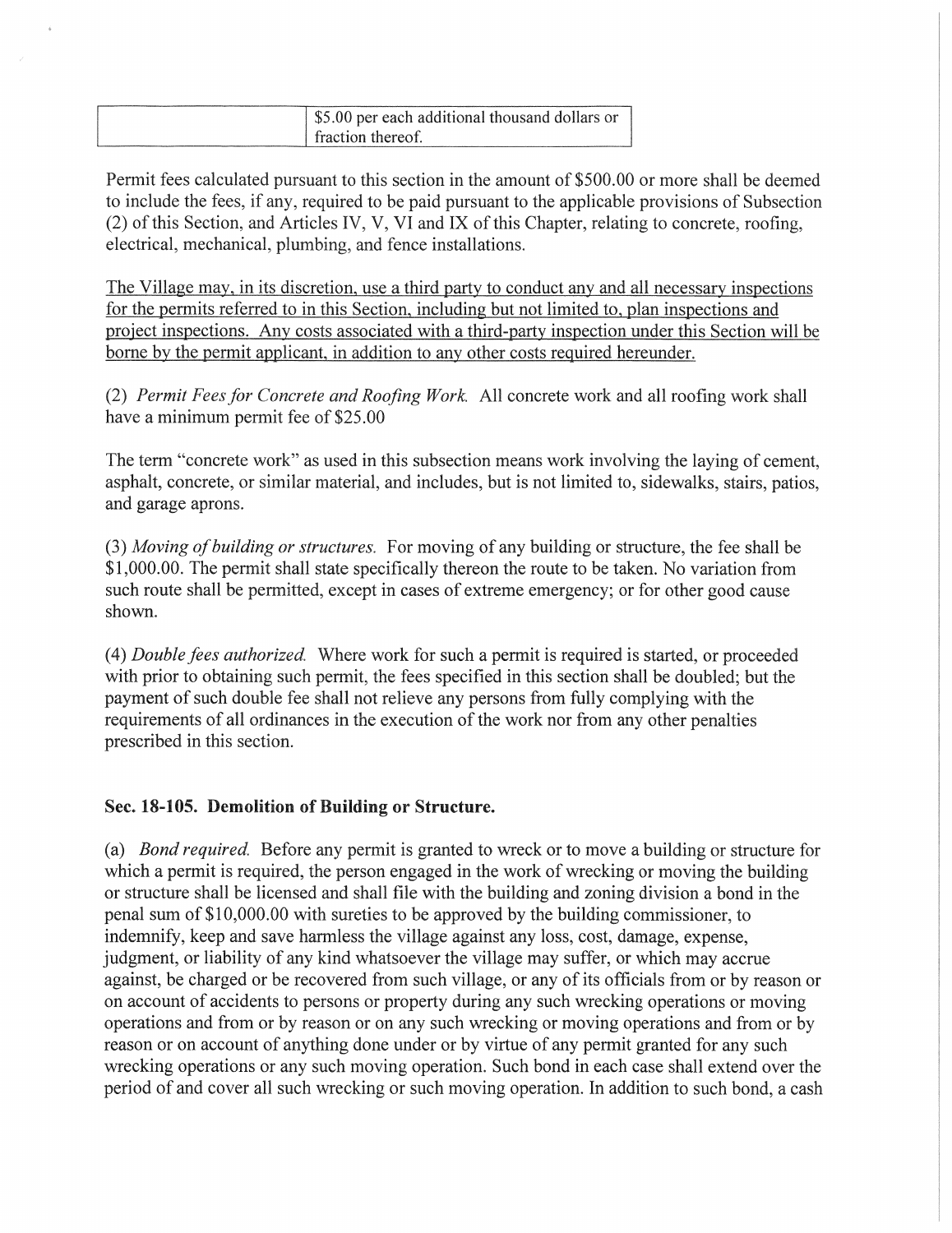| $\frac{1}{2}$ \$5.00 per each additional thousand dollars or |
|--------------------------------------------------------------|
| fraction thereof.                                            |

Permit fees calculated pursuant to this section in the amount of \$500.00 or more shall be deemed to include the fees, if any, required to be paid pursuant to the applicable provisions of Subsection (2) of this Section, and Articles IV, V, VI and IX of this Chapter, relating to concrete, roofing, electrical, mechanical, plumbing, and fence installations.

The Village may, in its discretion, use a third party to conduct any and all necessary inspections for the permits referred to in this Section, including but not limited to, plan inspections and project inspections. Any costs associated with a third-party inspection under this Section will be borne by the permit applicant, in addition to any other costs required hereunder.

*(2) Permit Fees for Concrete and Roofing Work.* All concrete work and all roofing work shall have a minimum permit fee of \$25.00

The term "concrete work" as used in this subsection means work involving the laying of cement, asphalt, concrete, or similar material, and includes, but is not limited to, sidewalks, stairs, patios, and garage aprons.

*(3) Moving o/building or structures.* For moving of any building or structure, the fee shall be \$1,000.00. The permit shall state specifically thereon the route to be taken. No variation from such route shall be permitted, except in cases of extreme emergency; or for other good cause shown.

*(4) Double fees authorized.* Where work for such a permit is required is started, or proceeded with prior to obtaining such permit, the fees specified in this section shall be doubled; but the payment of such double fee shall not relieve any persons from fully complying with the requirements of all ordinances in the execution of the work nor from any other penalties prescribed in this section.

# Sec. 18-105. **Demolition** of Building **or Structure.**

(a) *Bond required.* Before any permit is granted to wreck or to move a building or structure for which a permit is required, the person engaged in the work of wrecking or moving the building or structure shall be licensed and shall file with the building and zoning division a bond in the penal sum of\$10,000.00 with sureties to be approved by the building commissioner, to indemnify, keep and save harmless the village against any loss, cost, damage, expense, judgment, or liability of any kind whatsoever the village may suffer, or which may accrue against, be charged or be recovered from such village, or any of its officials from or by reason or on account of accidents to persons or property during any such wrecking operations or moving operations and from or by reason or on any such wrecking or moving operations and from or by reason or on account of anything done under or by virtue of any permit granted for any such wrecking operations or any such moving operation. Such bond in each case shall extend over the period of and cover all such wrecking or such moving operation. In addition to such bond, a cash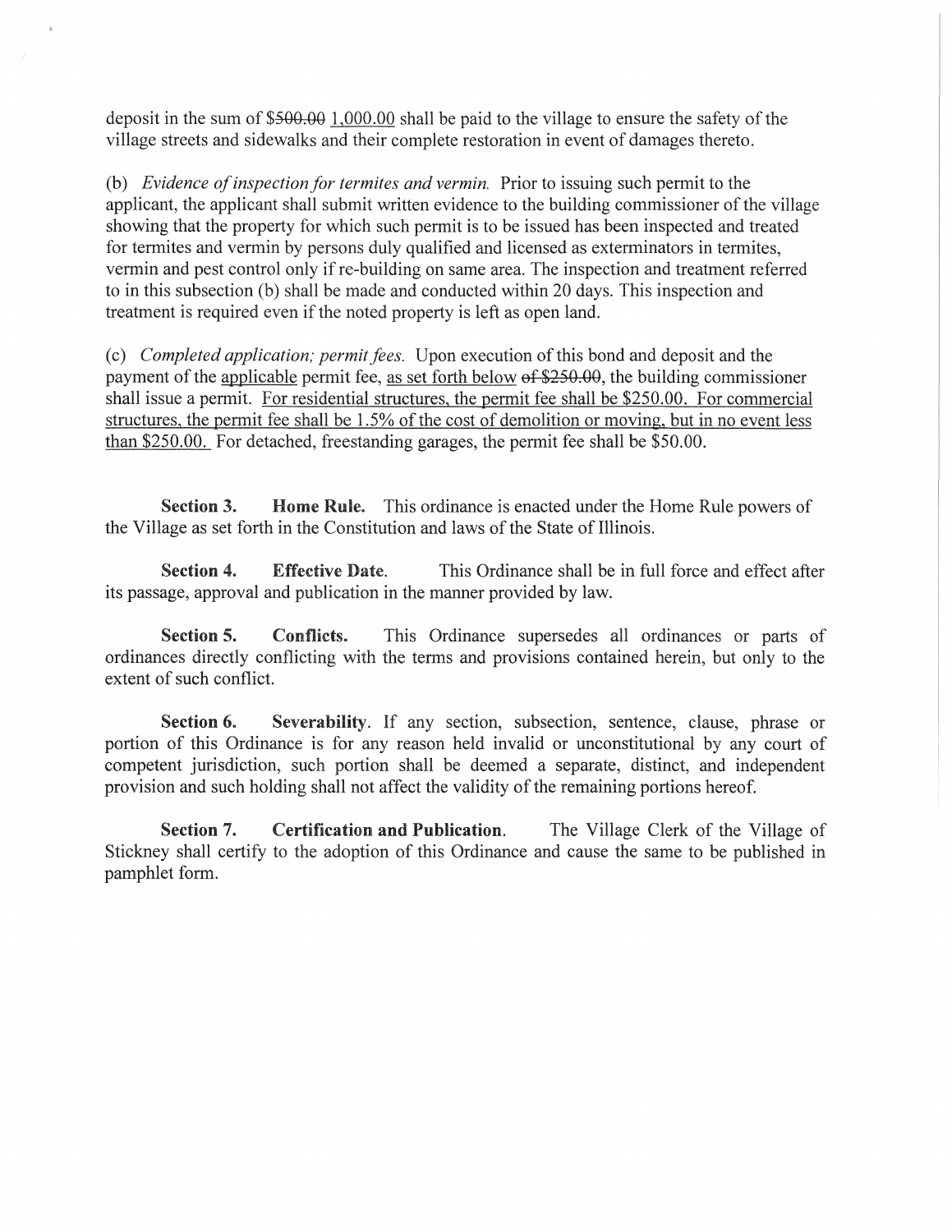deposit in the sum of  $$500.00$  1,000.00 shall be paid to the village to ensure the safety of the village streets and sidewalks and their complete restoration in event of damages thereto.

(b) *Evidence of inspection for termites and vermin.* Prior to issuing such permit to the applicant, the applicant shall submit written evidence to the building commissioner of the village showing that the property for which such permit is to be issued has been inspected and treated for termites and vermin by persons duly qualified and licensed as exterminators in termites, vermin and pest control only if re-building on same area. The inspection and treatment referred to in this subsection (b) shall be made and conducted within 20 days. This inspection and treatment is required even if the noted property is left as open land.

(c) *Completed application; permit fees.* Upon execution of this bond and deposit and the payment of the applicable permit fee, as set forth below of \$250.00, the building commissioner shall issue a permit. For residential structures, the permit fee shall be \$250.00. For commercial structures, the permit fee shall be  $1.5\%$  of the cost of demolition or moving, but in no event less than \$250.00. For detached, freestanding garages, the permit fee shall be \$50.00.

**Section 3. Home Rule.** This ordinance is enacted under the Home Rule powers of the Village as set forth in the Constitution and laws of the State of Illinois.

**Section 4. Effective Date.** This Ordinance shall be in full force and effect after its passage, approval and publication in the manner provided by law.

**Section 5. Conflicts.** This Ordinance supersedes all ordinances or parts of ordinances directly conflicting with the terms and provisions contained herein, but only to the extent of such conflict.

**Section 6. Severability.** If any section, subsection, sentence, clause, phrase or portion of this Ordinance is for any reason held invalid or unconstitutional by any court of competent jurisdiction, such portion shall be deemed a separate, distinct, and independent provision and such holding shall not affect the validity of the remaining portions hereof.

**Section 7. Certification and Publication.** The Village Clerk of the Village of Stickney shall certify to the adoption of this Ordinance and cause the same to be published in pamphlet form.